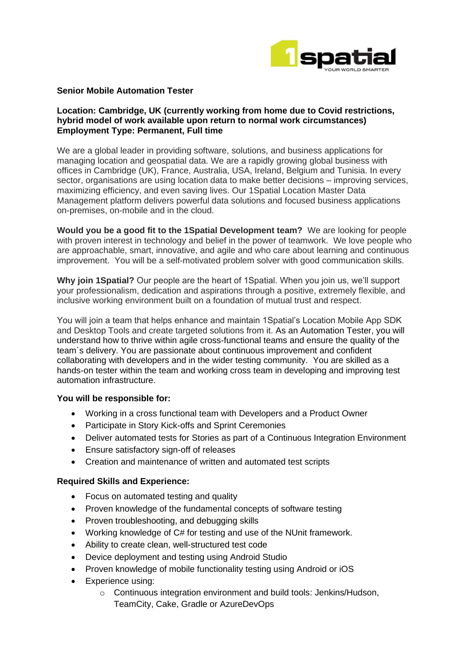

## **Senior Mobile Automation Tester**

## **Location: Cambridge, UK (currently working from home due to Covid restrictions, hybrid model of work available upon return to normal work circumstances) Employment Type: Permanent, Full time**

We are a global leader in providing software, solutions, and business applications for managing location and geospatial data. We are a rapidly growing global business with offices in Cambridge (UK), France, Australia, USA, Ireland, Belgium and Tunisia. In every sector, organisations are using location data to make better decisions – improving services, maximizing efficiency, and even saving lives. Our 1Spatial Location Master Data Management platform delivers powerful data solutions and focused business applications on-premises, on-mobile and in the cloud.

**Would you be a good fit to the 1Spatial Development team?** We are looking for people with proven interest in technology and belief in the power of teamwork. We love people who are approachable, smart, innovative, and agile and who care about learning and continuous improvement. You will be a self-motivated problem solver with good communication skills.

**Why join 1Spatial?** Our people are the heart of 1Spatial. When you join us, we'll support your professionalism, dedication and aspirations through a positive, extremely flexible, and inclusive working environment built on a foundation of mutual trust and respect.

You will join a team that helps enhance and maintain 1Spatial's Location Mobile App SDK and Desktop Tools and create targeted solutions from it. As an Automation Tester, you will understand how to thrive within agile cross-functional teams and ensure the quality of the team`s delivery. You are passionate about continuous improvement and confident collaborating with developers and in the wider testing community. You are skilled as a hands-on tester within the team and working cross team in developing and improving test automation infrastructure.

# **You will be responsible for:**

- Working in a cross functional team with Developers and a Product Owner
- Participate in Story Kick-offs and Sprint Ceremonies
- Deliver automated tests for Stories as part of a Continuous Integration Environment
- Ensure satisfactory sign-off of releases
- Creation and maintenance of written and automated test scripts

#### **Required Skills and Experience:**

- Focus on automated testing and quality
- Proven knowledge of the fundamental concepts of software testing
- Proven troubleshooting, and debugging skills
- Working knowledge of C# for testing and use of the NUnit framework.
- Ability to create clean, well-structured test code
- Device deployment and testing using Android Studio
- Proven knowledge of mobile functionality testing using Android or iOS
- Experience using:
	- o Continuous integration environment and build tools: Jenkins/Hudson, TeamCity, Cake, Gradle or AzureDevOps